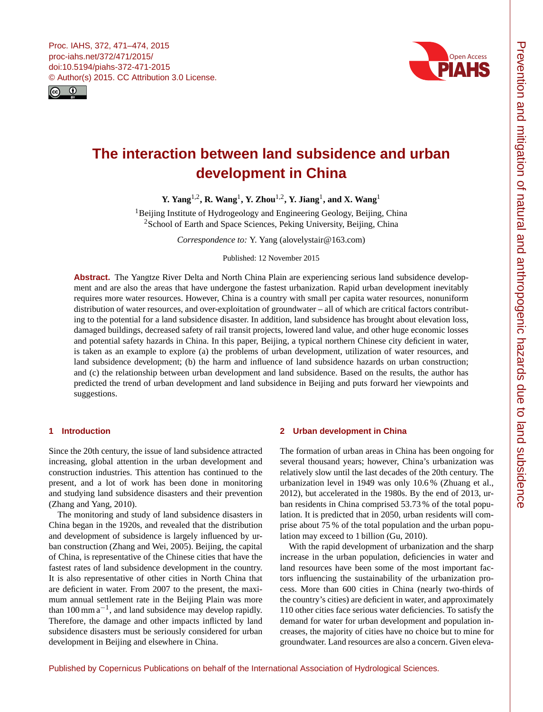<span id="page-0-1"></span>



# **The interaction between land subsidence and urban development in China**

**Y.** Yang<sup>[1,2](#page-0-0)</sup>, R. Wang<sup>[1](#page-0-0)</sup>, Y. Zhou<sup>1,2</sup>, Y. Jiang<sup>1</sup>, and X. Wang<sup>1</sup>

<sup>1</sup>Beijing Institute of Hydrogeology and Engineering Geology, Beijing, China <sup>2</sup>School of Earth and Space Sciences, Peking University, Beijing, China

*Correspondence to:* Y. Yang (alovelystair@163.com)

Published: 12 November 2015

**Abstract.** The Yangtze River Delta and North China Plain are experiencing serious land subsidence development and are also the areas that have undergone the fastest urbanization. Rapid urban development inevitably requires more water resources. However, China is a country with small per capita water resources, nonuniform distribution of water resources, and over-exploitation of groundwater – all of which are critical factors contributing to the potential for a land subsidence disaster. In addition, land subsidence has brought about elevation loss, damaged buildings, decreased safety of rail transit projects, lowered land value, and other huge economic losses and potential safety hazards in China. In this paper, Beijing, a typical northern Chinese city deficient in water, is taken as an example to explore (a) the problems of urban development, utilization of water resources, and land subsidence development; (b) the harm and influence of land subsidence hazards on urban construction; and (c) the relationship between urban development and land subsidence. Based on the results, the author has predicted the trend of urban development and land subsidence in Beijing and puts forward her viewpoints and suggestions.

# <span id="page-0-0"></span>**1 Introduction**

Since the 20th century, the issue of land subsidence attracted increasing, global attention in the urban development and construction industries. This attention has continued to the present, and a lot of work has been done in monitoring and studying land subsidence disasters and their prevention (Zhang and Yang, 2010).

The monitoring and study of land subsidence disasters in China began in the 1920s, and revealed that the distribution and development of subsidence is largely influenced by urban construction (Zhang and Wei, 2005). Beijing, the capital of China, is representative of the Chinese cities that have the fastest rates of land subsidence development in the country. It is also representative of other cities in North China that are deficient in water. From 2007 to the present, the maximum annual settlement rate in the Beijing Plain was more than  $100 \text{ mm} \text{ a}^{-1}$ , and land subsidence may develop rapidly. Therefore, the damage and other impacts inflicted by land subsidence disasters must be seriously considered for urban development in Beijing and elsewhere in China.

## **2 Urban development in China**

The formation of urban areas in China has been ongoing for several thousand years; however, China's urbanization was relatively slow until the last decades of the 20th century. The urbanization level in 1949 was only 10.6 % (Zhuang et al., 2012), but accelerated in the 1980s. By the end of 2013, urban residents in China comprised 53.73 % of the total population. It is predicted that in 2050, urban residents will comprise about 75 % of the total population and the urban population may exceed to 1 billion (Gu, 2010).

With the rapid development of urbanization and the sharp increase in the urban population, deficiencies in water and land resources have been some of the most important factors influencing the sustainability of the urbanization process. More than 600 cities in China (nearly two-thirds of the country's cities) are deficient in water, and approximately 110 other cities face serious water deficiencies. To satisfy the demand for water for urban development and population increases, the majority of cities have no choice but to mine for groundwater. Land resources are also a concern. Given eleva-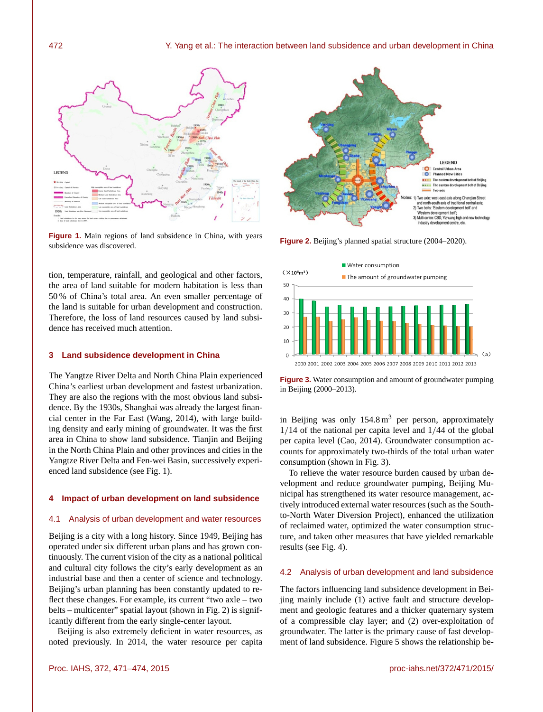

**Figure 1.** Main regions of land subsidence in China, with years subsidence was discovered.

tion, temperature, rainfall, and geological and other factors, the area of land suitable for modern habitation is less than 50 % of China's total area. An even smaller percentage of the land is suitable for urban development and construction. Therefore, the loss of land resources caused by land subsidence has received much attention.

# **3 Land subsidence development in China**

The Yangtze River Delta and North China Plain experienced China's earliest urban development and fastest urbanization. They are also the regions with the most obvious land subsidence. By the 1930s, Shanghai was already the largest financial center in the Far East (Wang, 2014), with large building density and early mining of groundwater. It was the first area in China to show land subsidence. Tianjin and Beijing in the North China Plain and other provinces and cities in the Yangtze River Delta and Fen-wei Basin, successively experienced land subsidence (see Fig. 1).

### **4 Impact of urban development on land subsidence**

#### 4.1 Analysis of urban development and water resources

Beijing is a city with a long history. Since 1949, Beijing has operated under six different urban plans and has grown continuously. The current vision of the city as a national political and cultural city follows the city's early development as an industrial base and then a center of science and technology. Beijing's urban planning has been constantly updated to reflect these changes. For example, its current "two axle – two belts – multicenter" spatial layout (shown in Fig. 2) is significantly different from the early single-center layout.

Beijing is also extremely deficient in water resources, as noted previously. In 2014, the water resource per capita



**Figure 2.** Beijing's planned spatial structure (2004–2020).



**Figure 3.** Water consumption and amount of groundwater pumping in Beijing (2000–2013).

in Beijing was only  $154.8 \text{ m}^3$  per person, approximately 1/14 of the national per capita level and 1/44 of the global per capita level (Cao, 2014). Groundwater consumption accounts for approximately two-thirds of the total urban water consumption (shown in Fig. 3).

To relieve the water resource burden caused by urban development and reduce groundwater pumping, Beijing Municipal has strengthened its water resource management, actively introduced external water resources (such as the Southto-North Water Diversion Project), enhanced the utilization of reclaimed water, optimized the water consumption structure, and taken other measures that have yielded remarkable results (see Fig. 4).

#### 4.2 Analysis of urban development and land subsidence

The factors influencing land subsidence development in Beijing mainly include (1) active fault and structure development and geologic features and a thicker quaternary system of a compressible clay layer; and (2) over-exploitation of groundwater. The latter is the primary cause of fast development of land subsidence. Figure 5 shows the relationship be-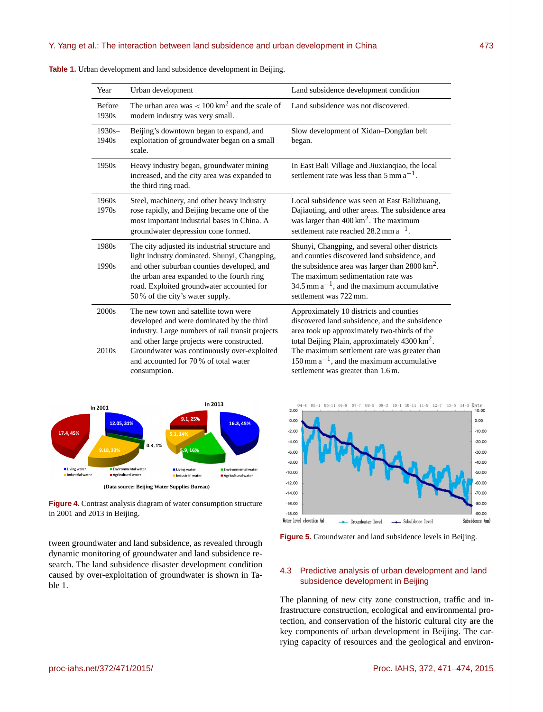| Year                                   | Urban development                                                                                                                                                                                                                                                                          | Land subsidence development condition                                                                                                                                                                                                                                                                                                                   |
|----------------------------------------|--------------------------------------------------------------------------------------------------------------------------------------------------------------------------------------------------------------------------------------------------------------------------------------------|---------------------------------------------------------------------------------------------------------------------------------------------------------------------------------------------------------------------------------------------------------------------------------------------------------------------------------------------------------|
| <b>Before</b><br>1930s                 | The urban area was $< 100 \text{ km}^2$ and the scale of<br>modern industry was very small.                                                                                                                                                                                                | Land subsidence was not discovered.                                                                                                                                                                                                                                                                                                                     |
| $1930s -$<br>1940s                     | Beijing's downtown began to expand, and<br>exploitation of groundwater began on a small<br>scale.                                                                                                                                                                                          | Slow development of Xidan-Dongdan belt<br>began.                                                                                                                                                                                                                                                                                                        |
| 1950s                                  | Heavy industry began, groundwater mining<br>increased, and the city area was expanded to<br>the third ring road.                                                                                                                                                                           | In East Bali Village and Jiuxianqiao, the local<br>settlement rate was less than $5 \text{ mm a}^{-1}$ .                                                                                                                                                                                                                                                |
| 1960s<br>1970s                         | Steel, machinery, and other heavy industry<br>rose rapidly, and Beijing became one of the<br>most important industrial bases in China. A<br>groundwater depression cone formed.                                                                                                            | Local subsidence was seen at East Balizhuang,<br>Dajiaoting, and other areas. The subsidence area<br>was larger than $400 \text{ km}^2$ . The maximum<br>settlement rate reached $28.2$ mm $a^{-1}$ .                                                                                                                                                   |
| 1980s<br>1990s                         | The city adjusted its industrial structure and<br>light industry dominated. Shunyi, Changping,<br>and other suburban counties developed, and<br>the urban area expanded to the fourth ring<br>road. Exploited groundwater accounted for<br>50% of the city's water supply.                 | Shunyi, Changping, and several other districts<br>and counties discovered land subsidence, and<br>the subsidence area was larger than $2800 \text{ km}^2$ .<br>The maximum sedimentation rate was<br>34.5 mm $a^{-1}$ , and the maximum accumulative<br>settlement was 722 mm.                                                                          |
| 2000 <sub>s</sub><br>2010 <sub>s</sub> | The new town and satellite town were<br>developed and were dominated by the third<br>industry. Large numbers of rail transit projects<br>and other large projects were constructed.<br>Groundwater was continuously over-exploited<br>and accounted for 70% of total water<br>consumption. | Approximately 10 districts and counties<br>discovered land subsidence, and the subsidence<br>area took up approximately two-thirds of the<br>total Beijing Plain, approximately 4300 km <sup>2</sup> .<br>The maximum settlement rate was greater than<br>$150$ mm a <sup>-1</sup> , and the maximum accumulative<br>settlement was greater than 1.6 m. |

**Table 1.** Urban development and land subsidence development in Beijing.



**Figure 4.** Contrast analysis diagram of water consumption structure in 2001 and 2013 in Beijing.

tween groundwater and land subsidence, as revealed through dynamic monitoring of groundwater and land subsidence research. The land subsidence disaster development condition caused by over-exploitation of groundwater is shown in Table 1.



**Figure 5.** Groundwater and land subsidence levels in Beijing.

# 4.3 Predictive analysis of urban development and land subsidence development in Beijing

The planning of new city zone construction, traffic and infrastructure construction, ecological and environmental protection, and conservation of the historic cultural city are the key components of urban development in Beijing. The carrying capacity of resources and the geological and environ